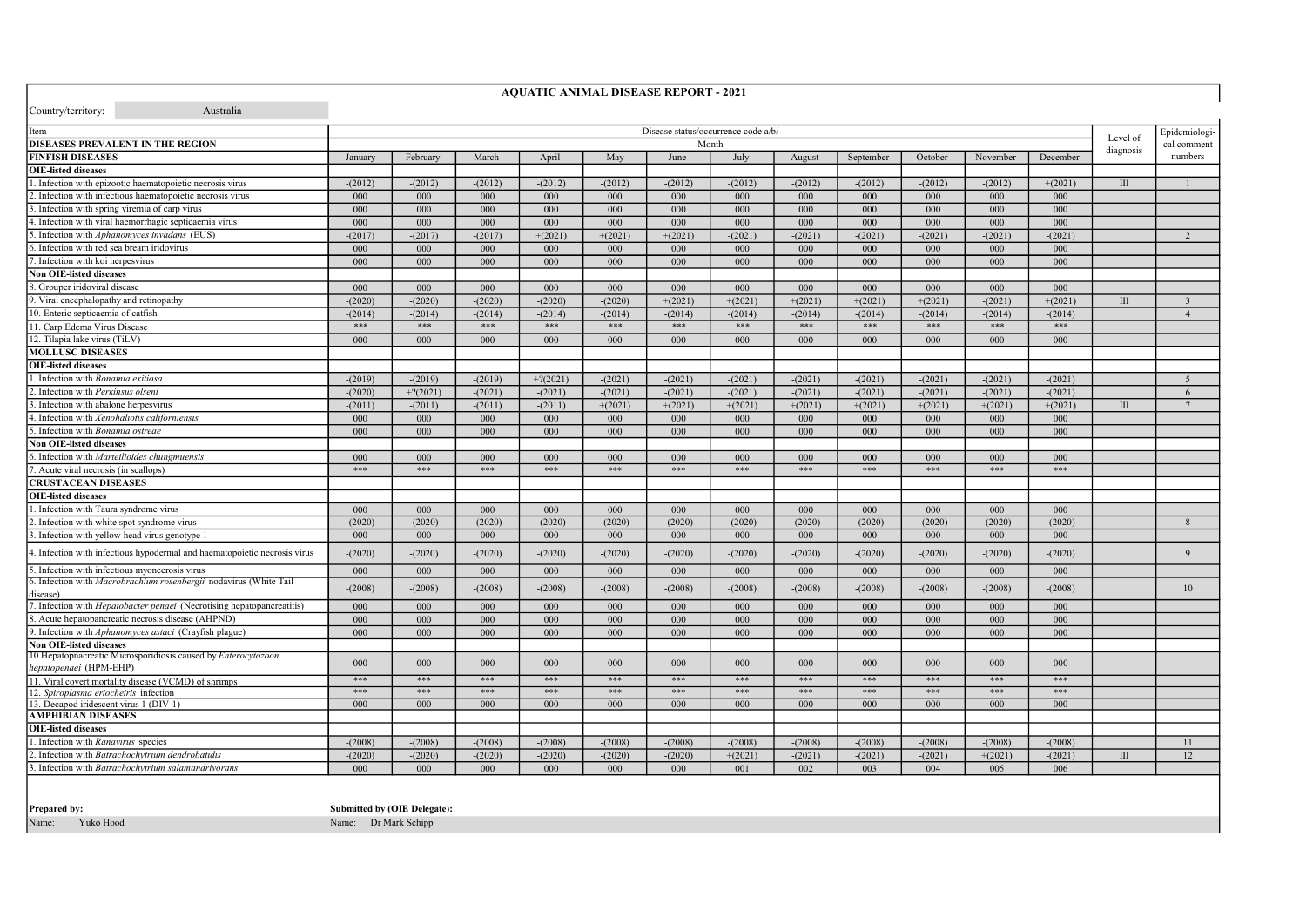| <b>AQUATIC ANIMAL DISEASE REPORT - 2021</b>                                          |                                     |            |                  |            |           |           |           |           |               |             |           |           |           |                 |
|--------------------------------------------------------------------------------------|-------------------------------------|------------|------------------|------------|-----------|-----------|-----------|-----------|---------------|-------------|-----------|-----------|-----------|-----------------|
| Country/territory:<br>Australia                                                      |                                     |            |                  |            |           |           |           |           |               |             |           |           |           |                 |
|                                                                                      |                                     |            |                  |            |           |           |           |           |               |             |           |           |           |                 |
| Item                                                                                 | Disease status/occurrence code a/b/ |            |                  |            |           |           |           | Level of  | Epidemiologi- |             |           |           |           |                 |
| <b>DISEASES PREVALENT IN THE REGION</b>                                              | Month                               |            |                  |            |           |           |           |           | diagnosis     | cal comment |           |           |           |                 |
| <b>FINFISH DISEASES</b>                                                              | January                             | February   | March            | April      | May       | June      | July      | August    | September     | October     | November  | December  |           | numbers         |
| <b>OIE-listed diseases</b>                                                           |                                     |            |                  |            |           |           |           |           |               |             |           |           |           |                 |
| . Infection with epizootic haematopoietic necrosis virus                             | $-(2012)$                           | $-(2012)$  | $-(2012)$        | $-(2012)$  | $-(2012)$ | $-(2012)$ | $-(2012)$ | $-(2012)$ | $-(2012)$     | $-(2012)$   | $-(2012)$ | $+(2021)$ | $\rm III$ | $\mathbf{1}$    |
| Infection with infectious haematopoietic necrosis virus                              | 000                                 | 000        | 000              | 000        | 000       | 000       | 000       | 000       | 000           | 000         | 000       | 000       |           |                 |
| Infection with spring viremia of carp virus                                          | 000                                 | 000        | $000 -$          | 000        | 000       | 000       | $000 -$   | 000       | 000           | 000         | 000       | $000 \,$  |           |                 |
| Infection with viral haemorrhagic septicaemia virus                                  | 000                                 | $000 -$    | 000              | $000 -$    | 000       | 000       | 000       | 000       | 000           | 000         | 000       | $000 \,$  |           |                 |
| 5. Infection with Aphanomyces invadans (EUS)                                         | $-(2017)$                           | $-(2017)$  | $-(2017)$        | $+(2021)$  | $+(2021)$ | $+(2021)$ | $-(2021)$ | $-(2021)$ | $-(2021)$     | $-(2021)$   | $-(2021)$ | $-(2021)$ |           | $\mathcal{D}$   |
| Infection with red sea bream iridovirus                                              | 000                                 | 000        | 000              | 000        | 000       | 000       | 000       | 000       | 000           | 000         | 000       | 000       |           |                 |
| Infection with koi herpesvirus                                                       | 000                                 | 000        | 000              | 000        | 000       | 000       | 000       | 000       | 000           | 000         | 000       | 000       |           |                 |
| <b>Non OIE-listed diseases</b>                                                       |                                     |            |                  |            |           |           |           |           |               |             |           |           |           |                 |
| 8. Grouper iridoviral disease                                                        | 000                                 | 000        | 000              | 000        | 000       | 000       | 000       | 000       | 000           | 000         | 000       | 000       |           |                 |
| 9. Viral encephalopathy and retinopathy                                              | $-(2020)$                           | $-(2020)$  | $-(2020)$        | $-(2020)$  | $-(2020)$ | $+(2021)$ | $+(2021)$ | $+(2021)$ | $+(2021)$     | $+(2021)$   | $-(2021)$ | $+(2021)$ | III       | $\overline{3}$  |
| 10. Enteric septicaemia of catfish                                                   | $-(2014)$                           | $-(2014)$  | $-(2014)$        | $-(2014)$  | $-(2014)$ | $-(2014)$ | $-(2014)$ | $-(2014)$ | $-(2014)$     | $-(2014)$   | $-(2014)$ | $-(2014)$ |           | $\overline{4}$  |
| 11. Carp Edema Virus Disease                                                         | ***                                 | ***        | ***              | ***        | $***$     | ***       | $***$     | ***       | ***           | $***$       | ***       | ***       |           |                 |
| 12. Tilapia lake virus (TiLV)                                                        | 000                                 | 000        | 000              | 000        | 000       | 000       | 000       | 000       | 000           | 000         | 000       | 000       |           |                 |
| <b>MOLLUSC DISEASES</b>                                                              |                                     |            |                  |            |           |           |           |           |               |             |           |           |           |                 |
| <b>OIE-listed diseases</b>                                                           |                                     |            |                  |            |           |           |           |           |               |             |           |           |           |                 |
| Infection with Bonamia exitiosa                                                      | $-(2019)$                           | $-(2019)$  | $-(2019)$        | $+2(2021)$ | $-(2021)$ | $-(2021)$ | $-(2021)$ | $-(2021)$ | $-(2021)$     | $-(2021)$   | $-(2021)$ | $-(2021)$ |           | 5               |
| Infection with Perkinsus olseni                                                      | $-(2020)$                           | $+?(2021)$ | $-(2021)$        | $-(2021)$  | $-(2021)$ | $-(2021)$ | $-(2021)$ | $-(2021)$ | $-(2021)$     | $-(2021)$   | $-(2021)$ | $-(2021)$ |           | 6               |
| Infection with abalone herpesvirus                                                   | $-(2011)$                           | $-(2011)$  | $-(2011)$        | $-(2011)$  | $+(2021)$ | $+(2021)$ | $+(2021)$ | $+(2021)$ | $+(2021)$     | $+(2021)$   | $+(2021)$ | $+(2021)$ | III       | $7\phantom{.0}$ |
| 4. Infection with Xenohaliotis californiensis                                        | 000                                 | 000        | 000              | 000        | 000       | 000       | 000       | 000       | 000           | 000         | 000       | 000       |           |                 |
| 5. Infection with Bonamia ostreae                                                    | 000                                 | 000        | 000              | 000        | 000       | 000       | 000       | 000       | 000           | 000         | 000       | 000       |           |                 |
| <b>Non OIE-listed diseases</b>                                                       |                                     |            |                  |            |           |           |           |           |               |             |           |           |           |                 |
| . Infection with Marteilioides chungmuensis                                          | 000                                 | 000        | 000 <sub>1</sub> | $000 -$    | 000       | 000       | $000 \,$  | 000       | 000           | 000         | 000       | 000       |           |                 |
| Acute viral necrosis (in scallops)                                                   | ***                                 | ***        | ***              | ***        | $***$     | ***       | ***       | $***$     | $***$         | $***$       | $***$     | $***$     |           |                 |
| <b>CRUSTACEAN DISEASES</b>                                                           |                                     |            |                  |            |           |           |           |           |               |             |           |           |           |                 |
| <b>OIE-listed diseases</b>                                                           |                                     |            |                  |            |           |           |           |           |               |             |           |           |           |                 |
| Infection with Taura syndrome virus                                                  | 000                                 | 000        | 000              | 000        | $000 -$   | 000       | 000       | 000       | 000           | 000         | 000       | 000       |           |                 |
| Infection with white spot syndrome virus                                             | $-(2020)$                           | $-(2020)$  | $-(2020)$        | $-(2020)$  | $-(2020)$ | $-(2020)$ | $-(2020)$ | $-(2020)$ | $-(2020)$     | $-(2020)$   | $-(2020)$ | $-(2020)$ |           | 8               |
| 3. Infection with yellow head virus genotype 1                                       | 000                                 | 000        | 000              | 000        | 000       | 000       | 000       | 000       | 000           | 000         | 000       | 000       |           |                 |
|                                                                                      |                                     |            |                  |            |           |           |           |           |               |             |           |           |           |                 |
| 4. Infection with infectious hypodermal and haematopoietic necrosis virus            | $-(2020)$                           | $-(2020)$  | $-(2020)$        | $-(2020)$  | $-(2020)$ | $-(2020)$ | $-(2020)$ | $-(2020)$ | $-(2020)$     | $-(2020)$   | $-(2020)$ | $-(2020)$ |           | $\mathbf{Q}$    |
| 5. Infection with infectious myonecrosis virus                                       | 000                                 | 000        | 000              | 000        | 000       | 000       | 000       | 000       | 000           | 000         | 000       | 000       |           |                 |
| 6. Infection with <i>Macrobrachium rosenbergii</i> nodavirus (White Tail<br>disease) | $-(2008)$                           | $-(2008)$  | $-(2008)$        | $-(2008)$  | $-(2008)$ | $-(2008)$ | $-(2008)$ | $-(2008)$ | $-(2008)$     | $-(2008)$   | $-(2008)$ | $-(2008)$ |           | 10              |
| 7. Infection with <i>Hepatobacter penaei</i> (Necrotising hepatopancreatitis)        | 000                                 | 000        | 000              | 000        | 000       | 000       | 000       | 000       | 000           | 000         | 000       | 000       |           |                 |
| 8. Acute hepatopancreatic necrosis disease (AHPND)                                   | 000                                 | 000        | 000              | 000        | 000       | 000       | 000       | 000       | 000           | 000         | 000       | 000       |           |                 |
| Infection with Aphanomyces astaci (Crayfish plague)                                  | 000                                 | 000        | 000              | 000        | 000       | 000       | 000       | 000       | 000           | 000         | 000       | 000       |           |                 |
| <b>Non OIE-listed diseases</b>                                                       |                                     |            |                  |            |           |           |           |           |               |             |           |           |           |                 |
| 10. Hepatopnacreatic Microsporidiosis caused by Enterocytozoon                       |                                     |            |                  |            |           |           |           |           |               |             |           |           |           |                 |
| hepatopenaei (HPM-EHP)                                                               | 000                                 | 000        | 000              | 000        | 000       | 000       | 000       | 000       | 000           | 000         | 000       | 000       |           |                 |
| 11. Viral covert mortality disease (VCMD) of shrimps                                 | ***                                 | ***        | ***              | ***        | ***       | ***       | ***       | ***       | ***           | ***         | ***       | ***       |           |                 |
| 12. Spiroplasma eriocheiris infection                                                | ***                                 | ***        | ***              | ***        | $***$     | ***       | ***       | ***       | ***           | ***         | ***       | ***       |           |                 |
| 13. Decapod iridescent virus 1 (DIV-1)                                               | 000                                 | 000        | $000 -$          | $000 -$    | 000       | 000       | 000       | 000       | 000           | 000         | $000 -$   | 000       |           |                 |
| <b>AMPHIBIAN DISEASES</b>                                                            |                                     |            |                  |            |           |           |           |           |               |             |           |           |           |                 |
| <b>OIE-listed diseases</b>                                                           |                                     |            |                  |            |           |           |           |           |               |             |           |           |           |                 |
| Infection with Ranavirus species                                                     | $-(2008)$                           | $-(2008)$  | $-(2008)$        | $-(2008)$  | $-(2008)$ | $-(2008)$ | $-(2008)$ | $-(2008)$ | $-(2008)$     | $-(2008)$   | $-(2008)$ | $-(2008)$ |           | 11              |
| Infection with Batrachochytrium dendrobatidis                                        | $-(2020)$                           | $-(2020)$  | $-(2020)$        | $-(2020)$  | $-(2020)$ | $-(2020)$ | $+(2021)$ | $-(2021)$ | $-(2021)$     | $-(2021)$   | $+(2021)$ | $-(2021)$ | $\rm III$ | 12              |
| . Infection with Batrachochytrium salamandrivorans                                   | 000                                 | 000        | 000 <sub>1</sub> | 000        | 000       | 000       | 001       | 002       | 003           | 004         | 005       | 006       |           |                 |

Prepared by:

Submitted by (OIE Delegate): Name: Dr Mark Schipp

Name: Yuko Hood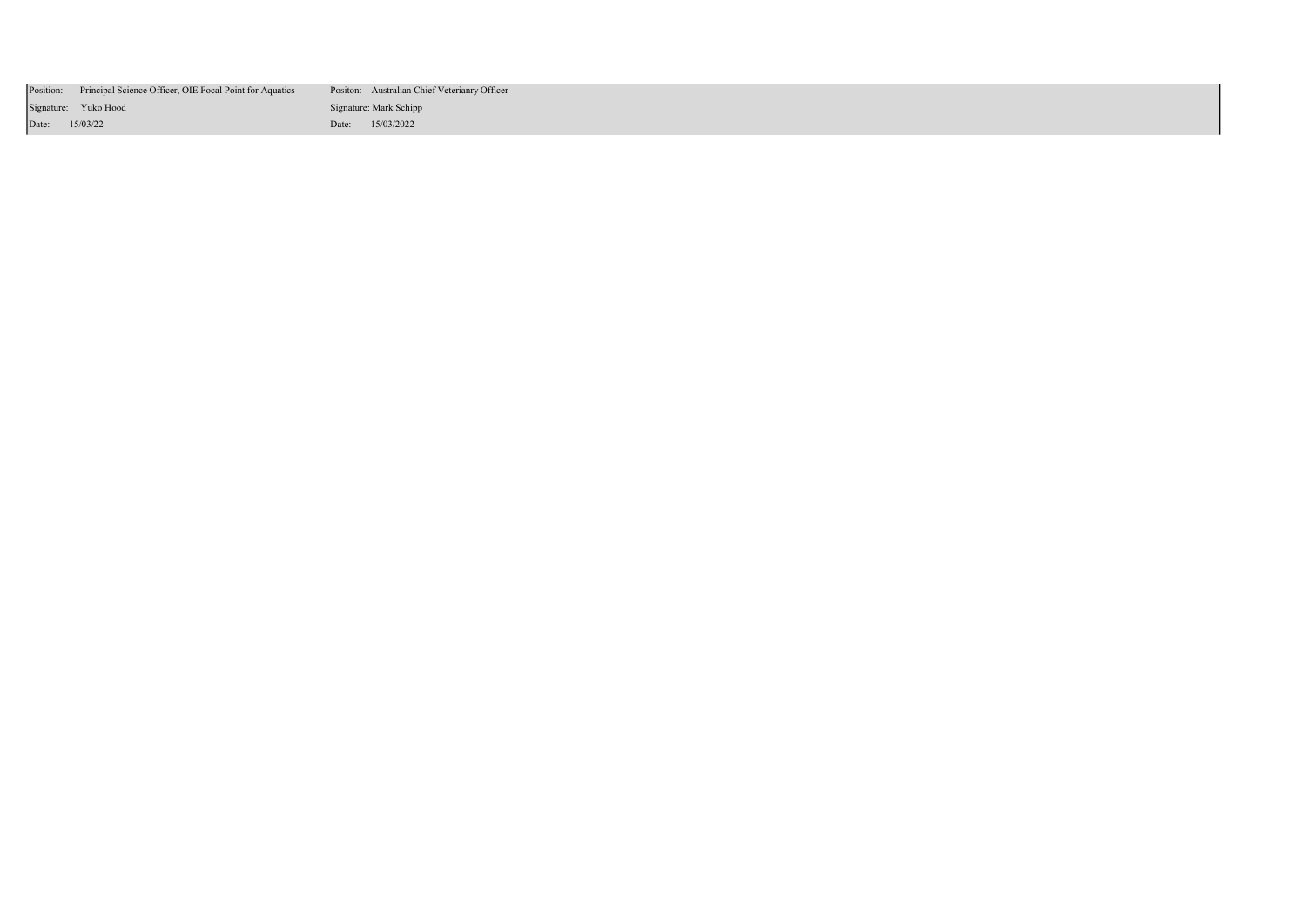|                | Position: Principal Science Officer, OIE Focal Point for Aquatics | Positon: Australian Chief Veterianry Officer |
|----------------|-------------------------------------------------------------------|----------------------------------------------|
|                | Signature: Yuko Hood                                              | Signature: Mark Schipp                       |
| Date: 15/03/22 |                                                                   | Date: 15/03/2022                             |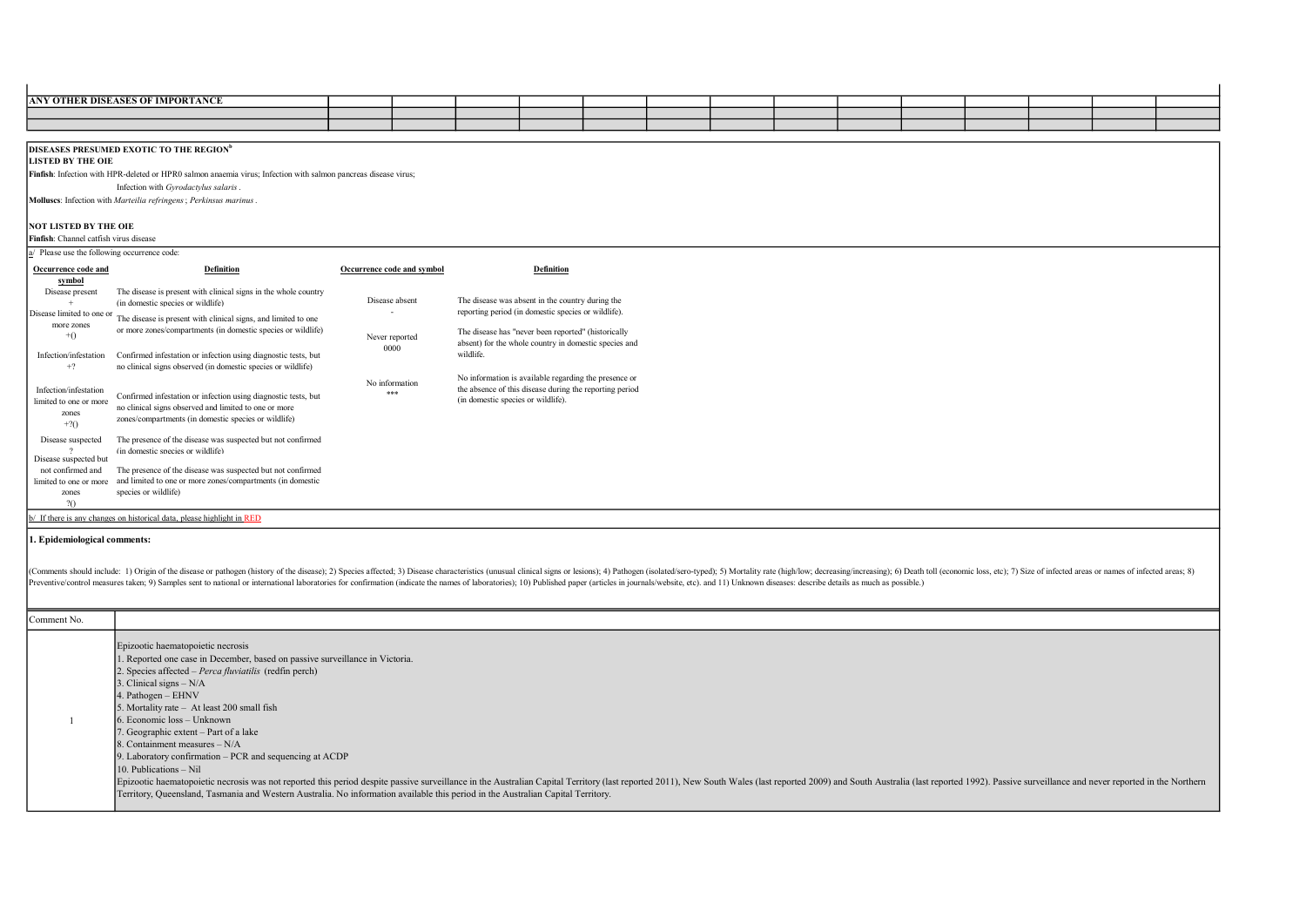| <b>ANY OTHER DISEASES OF IMPORTANCE</b> |  |  |  |  |  |  |  |
|-----------------------------------------|--|--|--|--|--|--|--|
|                                         |  |  |  |  |  |  |  |
|                                         |  |  |  |  |  |  |  |

DISEASES PRESUMED EXOTIC TO THE REGION<sup>b</sup>

LISTED BY THE OIE

Finfish: Infection with HPR-deleted or HPR0 salmon anaemia virus; Infection with salmon pancreas disease virus;

Infection with Gyrodactylus salaris.

Molluscs: Infection with Marteilia refringens; Perkinsus marinus.

## NOT LISTED BY THE OIE

Finfish: Channel catfish virus disease

|  |  |  |  | a/ Please use the following occurrence code: |  |
|--|--|--|--|----------------------------------------------|--|
|--|--|--|--|----------------------------------------------|--|

| Occurrence code and                                               | <b>Definition</b>                                                                                                                                                               | Occurrence code and symbol | <b>Definition</b>                                                                                                                                      |  |
|-------------------------------------------------------------------|---------------------------------------------------------------------------------------------------------------------------------------------------------------------------------|----------------------------|--------------------------------------------------------------------------------------------------------------------------------------------------------|--|
| symbol<br>Disease present<br>Disease limited to one or            | The disease is present with clinical signs in the whole country<br>(in domestic species or wildlife)                                                                            | Disease absent             | The disease was absent in the country during the<br>reporting period (in domestic species or wildlife).                                                |  |
| more zones<br>$+()$                                               | The disease is present with clinical signs, and limited to one<br>or more zones/compartments (in domestic species or wildlife)                                                  | Never reported<br>0000     | The disease has "never been reported" (historically<br>absent) for the whole country in domestic species and                                           |  |
| Infection/infestation<br>$+?$                                     | Confirmed infestation or infection using diagnostic tests, but<br>no clinical signs observed (in domestic species or wildlife)                                                  |                            | wildlife.                                                                                                                                              |  |
| Infection/infestation<br>limited to one or more<br>zones<br>$+20$ | Confirmed infestation or infection using diagnostic tests, but<br>no clinical signs observed and limited to one or more<br>zones/compartments (in domestic species or wildlife) | No information<br>***      | No information is available regarding the presence or<br>the absence of this disease during the reporting period<br>(in domestic species or wildlife). |  |
| Disease suspected<br>Disease suspected but                        | The presence of the disease was suspected but not confirmed<br>(in domestic species or wildlife)                                                                                |                            |                                                                                                                                                        |  |
| not confirmed and<br>limited to one or more<br>zones<br>20        | The presence of the disease was suspected but not confirmed<br>and limited to one or more zones/compartments (in domestic<br>species or wildlife)                               |                            |                                                                                                                                                        |  |

## b/ If there is any changes on historical data, please highlight in RED

## 1. Epidemiological comments:

(Comments should include: 1) Origin of the disease or pathogen (history of the disease); 2) Species affected; 3) Disease characteristics (unusual clinical signs or lesions); 4) Pathogen (isolated/sero-typed); 5) Mortality Preventive/control measures taken; 9) Samples sent to national or international laboratories for confirmation (indicate the names of laboratories; 10) Published paper (articles in journals/website, etc). and 11) Unknown di

## Comment No.

| Epizootic haematopoietic necrosis                                                                                                                                                                                             |
|-------------------------------------------------------------------------------------------------------------------------------------------------------------------------------------------------------------------------------|
| 1. Reported one case in December, based on passive surveillance in Victoria.                                                                                                                                                  |
| 2. Species affected – <i>Perca fluviatilis</i> (redfin perch)                                                                                                                                                                 |
| 3. Clinical signs $- N/A$                                                                                                                                                                                                     |
| 4. Pathogen $-$ EHNV                                                                                                                                                                                                          |
| 5. Mortality rate - At least 200 small fish                                                                                                                                                                                   |
| $6.$ Economic loss $-$ Unknown                                                                                                                                                                                                |
| 7. Geographic extent – Part of a lake                                                                                                                                                                                         |
| 8. Containment measures $- N/A$                                                                                                                                                                                               |
| 9. Laboratory confirmation – PCR and sequencing at ACDP                                                                                                                                                                       |
| $10.$ Publications $-$ Nil                                                                                                                                                                                                    |
| Epizootic haematopoietic necrosis was not reported this period despite passive surveillance in the Australian Capital Territory (last reported 2011), New South Wales (last reported 2009) and South Australia (last reported |
| Territory, Queensland, Tasmania and Western Australia. No information available this period in the Australian Capital Territory.                                                                                              |
|                                                                                                                                                                                                                               |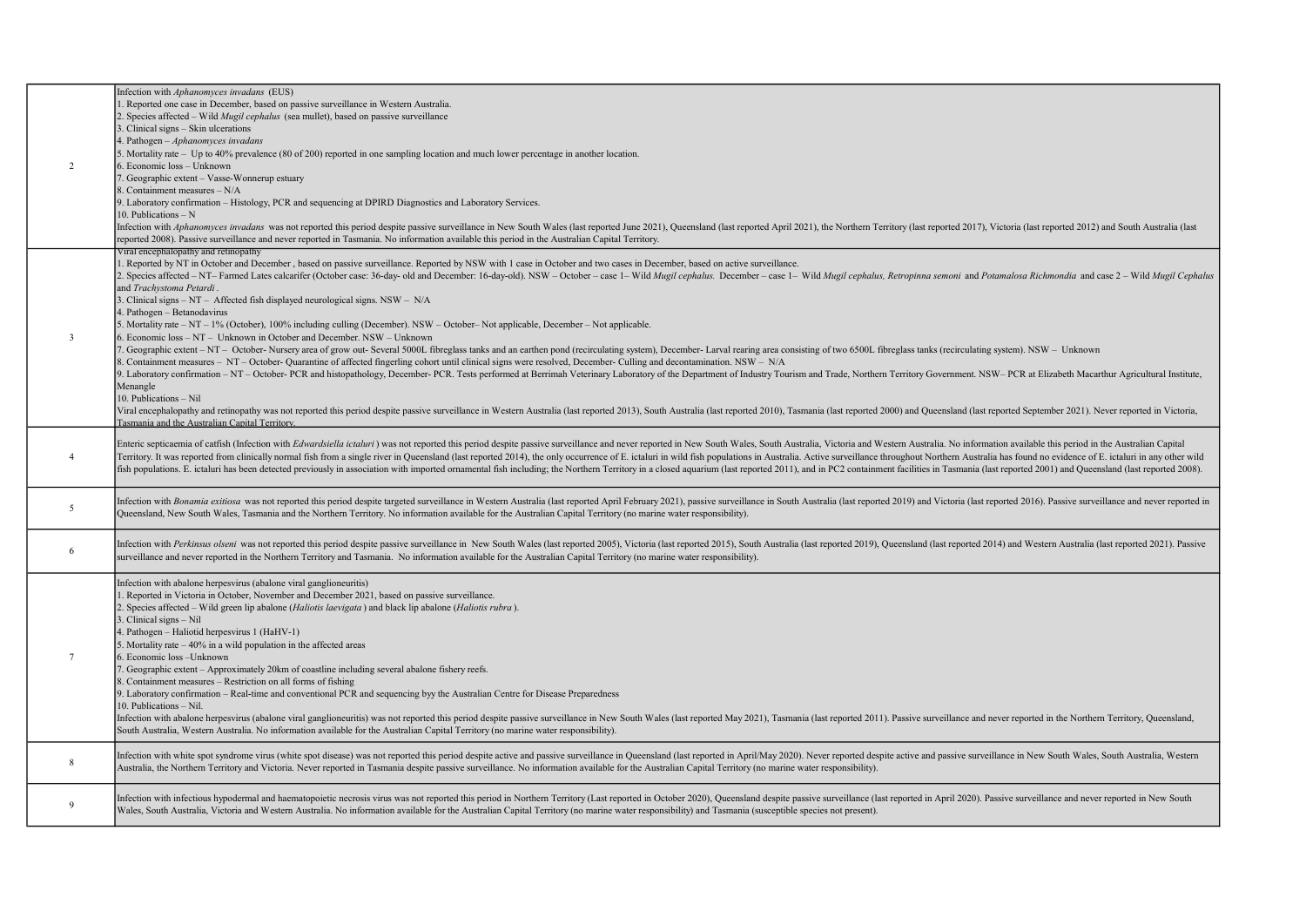|                 | Infection with Aphanomyces invadans (EUS)                                                                                                                                                                                                                                                                                                                                        |
|-----------------|----------------------------------------------------------------------------------------------------------------------------------------------------------------------------------------------------------------------------------------------------------------------------------------------------------------------------------------------------------------------------------|
|                 | 1. Reported one case in December, based on passive surveillance in Western Australia.                                                                                                                                                                                                                                                                                            |
|                 | 2. Species affected - Wild Mugil cephalus (sea mullet), based on passive surveillance                                                                                                                                                                                                                                                                                            |
|                 | 3. Clinical signs – Skin ulcerations                                                                                                                                                                                                                                                                                                                                             |
|                 | 4. Pathogen $-Aphanomyces$ invadans                                                                                                                                                                                                                                                                                                                                              |
|                 | 5. Mortality rate - Up to 40% prevalence (80 of 200) reported in one sampling location and much lower percentage in another location.                                                                                                                                                                                                                                            |
| 2               | 6. Economic loss - Unknown                                                                                                                                                                                                                                                                                                                                                       |
|                 | 7. Geographic extent - Vasse-Wonnerup estuary                                                                                                                                                                                                                                                                                                                                    |
|                 | 8. Containment measures - N/A                                                                                                                                                                                                                                                                                                                                                    |
|                 | 9. Laboratory confirmation - Histology, PCR and sequencing at DPIRD Diagnostics and Laboratory Services.                                                                                                                                                                                                                                                                         |
|                 | 10. Publications $- N$                                                                                                                                                                                                                                                                                                                                                           |
|                 |                                                                                                                                                                                                                                                                                                                                                                                  |
|                 | Infection with Aphanomyces invadans was not reported this period despite passive surveillance in New South Wales (last reported June 2021), Queensland (last reported April 2021), the Northern Territory (last reported 2017)<br>reported 2008). Passive surveillance and never reported in Tasmania. No information available this period in the Australian Capital Territory. |
|                 | Viral encephalopathy and retinopathy                                                                                                                                                                                                                                                                                                                                             |
|                 | 1. Reported by NT in October and December, based on passive surveillance. Reported by NSW with 1 case in October and two cases in December, based on active surveillance.                                                                                                                                                                                                        |
|                 | 2. Species affected - NT- Farmed Lates calcarifer (October case: 36-day- old and December: 16-day-old). NSW - October - case 1- Wild Mugil cephalus. December- case 1- Wild Mugil cephalus, Retropinna semoni and Potamalosa R                                                                                                                                                   |
|                 | and Trachystoma Petardi.                                                                                                                                                                                                                                                                                                                                                         |
|                 |                                                                                                                                                                                                                                                                                                                                                                                  |
|                 | 3. Clinical signs - NT - Affected fish displayed neurological signs. NSW - N/A                                                                                                                                                                                                                                                                                                   |
|                 | 4. Pathogen - Betanodavirus                                                                                                                                                                                                                                                                                                                                                      |
|                 | 5. Mortality rate - NT - 1% (October), 100% including culling (December). NSW - October- Not applicable, December - Not applicable.                                                                                                                                                                                                                                              |
| $\overline{3}$  | 6. Economic loss - NT - Unknown in October and December. NSW - Unknown                                                                                                                                                                                                                                                                                                           |
|                 | 7. Geographic extent - NT - October- Nursery area of grow out- Several 5000L fibreglass tanks and an earthen pond (recirculating system), December- Larval rearing area consisting of two 6500L fibreglass tanks (recirculatin                                                                                                                                                   |
|                 | 8. Containment measures – NT – October- Quarantine of affected fingerling cohort until clinical signs were resolved, December- Culling and decontamination. NSW – N/A                                                                                                                                                                                                            |
|                 | 9. Laboratory confirmation - NT - October- PCR and histopathology, December- PCR. Tests performed at Berrimah Veterinary Laboratory of the Department of Industry Tourism and Trade, Northern Territory Government. NSW- PCR a                                                                                                                                                   |
|                 | Menangle                                                                                                                                                                                                                                                                                                                                                                         |
|                 | 10. Publications - Nil                                                                                                                                                                                                                                                                                                                                                           |
|                 | Viral encephalopathy and retinopathy was not reported this period despite passive surveillance in Western Australia (last reported 2013), South Australia (last reported 2010), Tasmania (last reported 2000) and Queensland (                                                                                                                                                   |
|                 | Tasmania and the Australian Capital Territory.                                                                                                                                                                                                                                                                                                                                   |
|                 |                                                                                                                                                                                                                                                                                                                                                                                  |
|                 | Enteric septicaemia of catfish (Infection with Edwardsiella ictaluri) was not reported this period despite passive surveillance and never reported in New South Wales, South Australia, Victoria and Western Australia. No inf                                                                                                                                                   |
| $\overline{4}$  | Territory. It was reported from clinically normal fish from a single river in Queensland (last reported 2014), the only occurrence of E. ictaluri in wild fish populations in Australia. Active surveillance throughout Northe                                                                                                                                                   |
|                 | fish populations. E. ictaluri has been detected previously in association with imported ornamental fish including; the Northern Territory in a closed aquarium (last reported 2011), and in PC2 containment facilities in Tasm                                                                                                                                                   |
|                 |                                                                                                                                                                                                                                                                                                                                                                                  |
|                 | Infection with Bonamia exitiosa was not reported this period despite targeted surveillance in Western Australia (last reported April February 2021), passive surveillance in South Australia (last reported 2019) and Victoria                                                                                                                                                   |
| 5               | Queensland, New South Wales, Tasmania and the Northern Territory. No information available for the Australian Capital Territory (no marine water responsibility).                                                                                                                                                                                                                |
|                 |                                                                                                                                                                                                                                                                                                                                                                                  |
|                 |                                                                                                                                                                                                                                                                                                                                                                                  |
| 6               | Infection with Perkinsus olseni was not reported this period despite passive surveillance in New South Wales (last reported 2005), Victoria (last reported 2015), South Australia (last reported 2019), Queensland (last repor                                                                                                                                                   |
|                 | surveillance and never reported in the Northern Territory and Tasmania. No information available for the Australian Capital Territory (no marine water responsibility).                                                                                                                                                                                                          |
|                 |                                                                                                                                                                                                                                                                                                                                                                                  |
|                 | Infection with abalone herpesvirus (abalone viral ganglioneuritis)                                                                                                                                                                                                                                                                                                               |
|                 | 1. Reported in Victoria in October, November and December 2021, based on passive surveillance.                                                                                                                                                                                                                                                                                   |
|                 | 2. Species affected – Wild green lip abalone (Haliotis laevigata) and black lip abalone (Haliotis rubra).                                                                                                                                                                                                                                                                        |
|                 | 3. Clinical signs - Nil                                                                                                                                                                                                                                                                                                                                                          |
|                 | 4. Pathogen - Haliotid herpesvirus 1 (HaHV-1)                                                                                                                                                                                                                                                                                                                                    |
|                 | 5. Mortality rate $-40\%$ in a wild population in the affected areas                                                                                                                                                                                                                                                                                                             |
| $7\phantom{.0}$ | 6. Economic loss - Unknown                                                                                                                                                                                                                                                                                                                                                       |
|                 | 7. Geographic extent - Approximately 20km of coastline including several abalone fishery reefs.                                                                                                                                                                                                                                                                                  |
|                 | 8. Containment measures - Restriction on all forms of fishing                                                                                                                                                                                                                                                                                                                    |
|                 | 9. Laboratory confirmation - Real-time and conventional PCR and sequencing byy the Australian Centre for Disease Preparedness                                                                                                                                                                                                                                                    |
|                 | 10. Publications - Nil.                                                                                                                                                                                                                                                                                                                                                          |
|                 | Infection with abalone herpesvirus (abalone viral ganglioneuritis) was not reported this period despite passive surveillance in New South Wales (last reported May 2021), Tasmania (last reported 2011). Passive surveillance                                                                                                                                                    |
|                 | South Australia, Western Australia. No information available for the Australian Capital Territory (no marine water responsibility).                                                                                                                                                                                                                                              |
|                 |                                                                                                                                                                                                                                                                                                                                                                                  |
|                 | Infection with white spot syndrome virus (white spot disease) was not reported this period despite active and passive surveillance in Queensland (last reported in April/May 2020). Never reported despite active and passive                                                                                                                                                    |
| 8               | Australia, the Northern Territory and Victoria. Never reported in Tasmania despite passive surveillance. No information available for the Australian Capital Territory (no marine water responsibility).                                                                                                                                                                         |
|                 |                                                                                                                                                                                                                                                                                                                                                                                  |
|                 |                                                                                                                                                                                                                                                                                                                                                                                  |
| 9               | Infection with infectious hypodermal and haematopoietic necrosis virus was not reported this period in Northern Territory (Last reported in October 2020), Queensland despite passive surveillance (last reported in April 202                                                                                                                                                   |
|                 | Wales, South Australia, Victoria and Western Australia. No information available for the Australian Capital Territory (no marine water responsibility) and Tasmania (susceptible species not present).                                                                                                                                                                           |